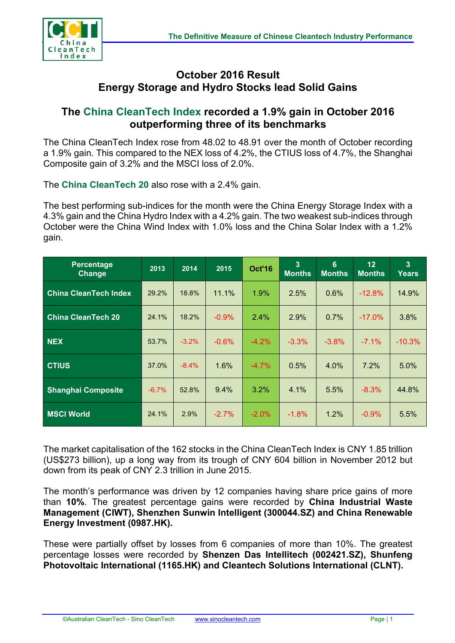

## **October 2016 Result Energy Storage and Hydro Stocks lead Solid Gains**

## **The China CleanTech Index recorded a 1.9% gain in October 2016 outperforming three of its benchmarks**

The China CleanTech Index rose from 48.02 to 48.91 over the month of October recording a 1.9% gain. This compared to the NEX loss of 4.2%, the CTIUS loss of 4.7%, the Shanghai Composite gain of 3.2% and the MSCI loss of 2.0%.

The **China CleanTech 20** also rose with a 2.4% gain.

The best performing sub-indices for the month were the China Energy Storage Index with a 4.3% gain and the China Hydro Index with a 4.2% gain. The two weakest sub-indices through October were the China Wind Index with 1.0% loss and the China Solar Index with a 1.2% gain.

| <b>Percentage</b><br>Change  | 2013    | 2014     | 2015     | <b>Oct'16</b> | 3<br><b>Months</b> | 6<br><b>Months</b> | 12<br><b>Months</b> | 3<br>Years |
|------------------------------|---------|----------|----------|---------------|--------------------|--------------------|---------------------|------------|
| <b>China CleanTech Index</b> | 29.2%   | 18.8%    | 11.1%    | 1.9%          | 2.5%               | 0.6%               | $-12.8%$            | 14.9%      |
| <b>China CleanTech 20</b>    | 24.1%   | 18.2%    | $-0.9\%$ | 2.4%          | 2.9%               | $0.7\%$            | $-17.0\%$           | 3.8%       |
| NEX                          | 53.7%   | $-3.2\%$ | $-0.6\%$ | $-4.2\%$      | $-3.3%$            | $-3.8\%$           | $-7.1%$             | $-10.3%$   |
| <b>CTIUS</b>                 | 37.0%   | $-8.4%$  | 1.6%     | $-4.7%$       | 0.5%               | 4.0%               | 7.2%                | 5.0%       |
| <b>Shanghai Composite</b>    | $-6.7%$ | 52.8%    | 9.4%     | $3.2\%$       | 4.1%               | 5.5%               | $-8.3%$             | 44.8%      |
| <b>MSCI World</b>            | 24.1%   | 2.9%     | $-2.7\%$ | $-2.0\%$      | $-1.8%$            | $1.2\%$            | $-0.9%$             | 5.5%       |

The market capitalisation of the 162 stocks in the China CleanTech Index is CNY 1.85 trillion (US\$273 billion), up a long way from its trough of CNY 604 billion in November 2012 but down from its peak of CNY 2.3 trillion in June 2015.

The month's performance was driven by 12 companies having share price gains of more than **10%**. The greatest percentage gains were recorded by **China Industrial Waste Management (CIWT), Shenzhen Sunwin Intelligent (300044.SZ) and China Renewable Energy Investment (0987.HK).** 

These were partially offset by losses from 6 companies of more than 10%. The greatest percentage losses were recorded by **Shenzen Das Intellitech (002421.SZ), Shunfeng Photovoltaic International (1165.HK) and Cleantech Solutions International (CLNT).**